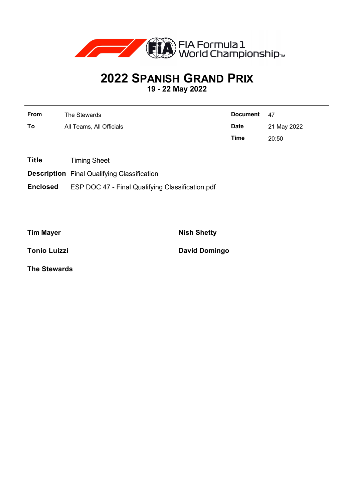

## **2022 SPANISH GRAND PRIX**

**19 - 22 May 2022**

| From | The Stewards             | Document 47 |             |
|------|--------------------------|-------------|-------------|
| To   | All Teams, All Officials | <b>Date</b> | 21 May 2022 |
|      |                          | Time        | 20:50       |

**Title** Timing Sheet

**Description** Final Qualifying Classification

**Enclosed** ESP DOC 47 - Final Qualifying Classification.pdf

**Tim Mayer Nish Shetty** 

**Tonio Luizzi David Domingo** 

**The Stewards**